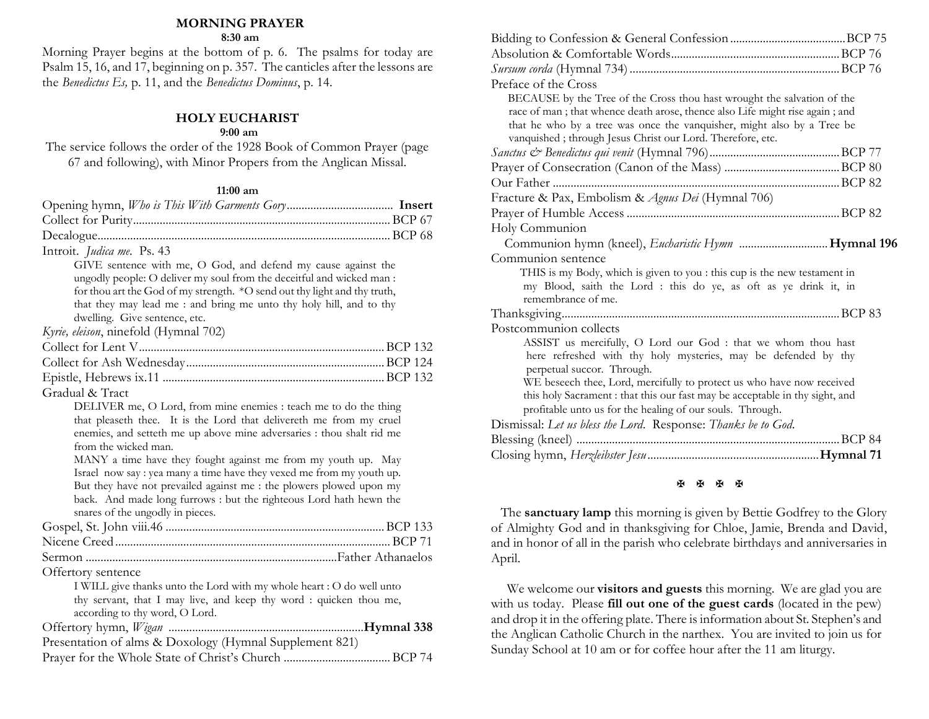## **MORNING PRAYER**

**8:30 am**

Morning Prayer begins at the bottom of p. 6. The psalms for today are Psalm 15, 16, and 17, beginning on p. 357. The canticles after the lessons are the *Benedictus Es,* p. 11, and the *Benedictus Dominus*, p. 14.

#### **HOLY EUCHARIST**

#### **9:00 am**

The service follows the order of the 1928 Book of Common Prayer (page 67 and following), with Minor Propers from the Anglican Missal.

#### **11:00 am**

| Introit. Judica me. Ps. 43                                                |
|---------------------------------------------------------------------------|
| GIVE sentence with me, O God, and defend my cause against the             |
| ungodly people: O deliver my soul from the deceitful and wicked man :     |
| for thou art the God of my strength. *O send out thy light and thy truth, |
| that they may lead me : and bring me unto thy holy hill, and to thy       |
| dwelling. Give sentence, etc.                                             |
| Kyrie, eleison, ninefold (Hymnal 702)                                     |
|                                                                           |
|                                                                           |
|                                                                           |
| Gradual & Tract                                                           |
| DELIVER me, O Lord, from mine enemies : teach me to do the thing          |
| that pleaseth thee. It is the Lord that delivereth me from my cruel       |
| enemies, and setteth me up above mine adversaries : thou shalt rid me     |
| from the wicked man.                                                      |
| MANY a time have they fought against me from my youth up. May             |
| Israel now say : yea many a time have they vexed me from my youth up.     |
| But they have not prevailed against me : the plowers plowed upon my       |
| back. And made long furrows : but the righteous Lord hath hewn the        |
| snares of the ungodly in pieces.                                          |
|                                                                           |
|                                                                           |
|                                                                           |
| Offertory sentence                                                        |
| I WILL give thanks unto the Lord with my whole heart : O do well unto     |
| thy servant, that I may live, and keep thy word : quicken thou me,        |
| according to thy word, O Lord.                                            |
|                                                                           |
| Presentation of alms & Doxology (Hymnal Supplement 821)                   |
|                                                                           |

|                                                                        | Preface of the Cross                                                         |  |  |
|------------------------------------------------------------------------|------------------------------------------------------------------------------|--|--|
|                                                                        | BECAUSE by the Tree of the Cross thou hast wrought the salvation of the      |  |  |
|                                                                        | race of man; that whence death arose, thence also Life might rise again; and |  |  |
| that he who by a tree was once the vanquisher, might also by a Tree be |                                                                              |  |  |
|                                                                        | vanquished; through Jesus Christ our Lord. Therefore, etc.                   |  |  |
|                                                                        |                                                                              |  |  |
|                                                                        |                                                                              |  |  |
|                                                                        |                                                                              |  |  |
|                                                                        | Fracture & Pax, Embolism & Agnus Dei (Hymnal 706)                            |  |  |
|                                                                        |                                                                              |  |  |
|                                                                        | Holy Communion                                                               |  |  |
|                                                                        |                                                                              |  |  |
|                                                                        | Communion sentence                                                           |  |  |
|                                                                        | THIS is my Body, which is given to you : this cup is the new testament in    |  |  |
|                                                                        | my Blood, saith the Lord : this do ye, as oft as ye drink it, in             |  |  |
|                                                                        | remembrance of me.                                                           |  |  |
|                                                                        |                                                                              |  |  |
|                                                                        | Postcommunion collects                                                       |  |  |
|                                                                        | ASSIST us mercifully, O Lord our God : that we whom thou hast                |  |  |
|                                                                        | here refreshed with thy holy mysteries, may be defended by thy               |  |  |
|                                                                        | perpetual succor. Through.                                                   |  |  |
|                                                                        | WE beseech thee, Lord, mercifully to protect us who have now received        |  |  |
|                                                                        | this holy Sacrament : that this our fast may be acceptable in thy sight, and |  |  |
|                                                                        | profitable unto us for the healing of our souls. Through.                    |  |  |
|                                                                        |                                                                              |  |  |
|                                                                        | Dismissal: Let us bless the Lord. Response: Thanks be to God.                |  |  |
|                                                                        |                                                                              |  |  |
|                                                                        |                                                                              |  |  |

#### **K K K K**

 The **sanctuary lamp** this morning is given by Bettie Godfrey to the Glory of Almighty God and in thanksgiving for Chloe, Jamie, Brenda and David, and in honor of all in the parish who celebrate birthdays and anniversaries in April.

We welcome our **visitors and guests** this morning. We are glad you are with us today. Please **fill out one of the guest cards** (located in the pew) and drop it in the offering plate. There is information about St. Stephen's and the Anglican Catholic Church in the narthex. You are invited to join us for Sunday School at 10 am or for coffee hour after the 11 am liturgy.